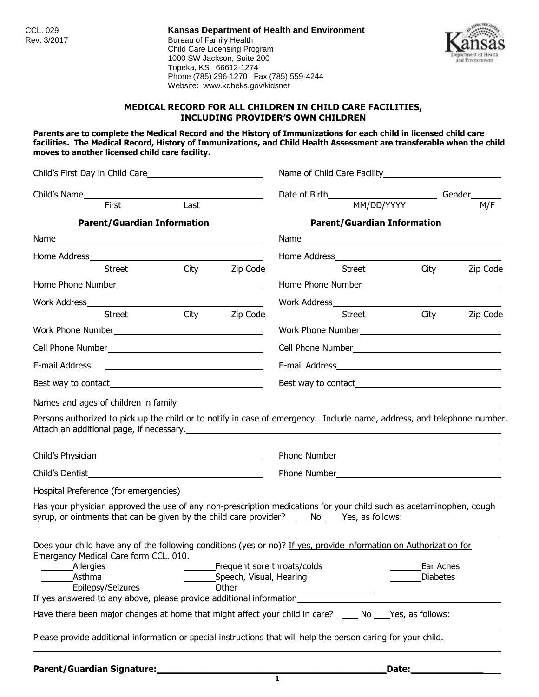CCL. 029 **Kansas Department of Health and Environment** Bureau of Family Health Child Care Licensing Program 1000 SW Jackson, Suite 200 Topeka, KS 66612-1274 Phone (785) 296-1270 Fax (785) 559-4244 Website: www.kdheks.gov/kidsnet



### **MEDICAL RECORD FOR ALL CHILDREN IN CHILD CARE FACILITIES, INCLUDING PROVIDER'S OWN CHILDREN**

**Parents are to complete the Medical Record and the History of Immunizations for each child in licensed child care facilities. The Medical Record, History of Immunizations, and Child Health Assessment are transferable when the child moves to another licensed child care facility.**

| —<br>Last<br>First<br><b>Parent/Guardian Information</b>                                                                                                                                                                                                                                                                                                         | Date of Birth__________________________________Gender______<br>MM/DD/YYYY<br>M/F<br><b>Parent/Guardian Information</b><br>Home Address and the state of the state of the state of the state of the state of the state of the state of the state of the state of the state of the state of the state of the state of the state of the state of the state<br>City<br>Street<br>Zip Code |  |  |
|------------------------------------------------------------------------------------------------------------------------------------------------------------------------------------------------------------------------------------------------------------------------------------------------------------------------------------------------------------------|---------------------------------------------------------------------------------------------------------------------------------------------------------------------------------------------------------------------------------------------------------------------------------------------------------------------------------------------------------------------------------------|--|--|
|                                                                                                                                                                                                                                                                                                                                                                  |                                                                                                                                                                                                                                                                                                                                                                                       |  |  |
|                                                                                                                                                                                                                                                                                                                                                                  |                                                                                                                                                                                                                                                                                                                                                                                       |  |  |
|                                                                                                                                                                                                                                                                                                                                                                  |                                                                                                                                                                                                                                                                                                                                                                                       |  |  |
|                                                                                                                                                                                                                                                                                                                                                                  |                                                                                                                                                                                                                                                                                                                                                                                       |  |  |
|                                                                                                                                                                                                                                                                                                                                                                  |                                                                                                                                                                                                                                                                                                                                                                                       |  |  |
| City Zip Code<br><b>Street</b>                                                                                                                                                                                                                                                                                                                                   |                                                                                                                                                                                                                                                                                                                                                                                       |  |  |
|                                                                                                                                                                                                                                                                                                                                                                  |                                                                                                                                                                                                                                                                                                                                                                                       |  |  |
|                                                                                                                                                                                                                                                                                                                                                                  |                                                                                                                                                                                                                                                                                                                                                                                       |  |  |
| City<br><b>Street</b><br>Zip Code                                                                                                                                                                                                                                                                                                                                | City<br>Zip Code<br><b>Street</b>                                                                                                                                                                                                                                                                                                                                                     |  |  |
|                                                                                                                                                                                                                                                                                                                                                                  |                                                                                                                                                                                                                                                                                                                                                                                       |  |  |
|                                                                                                                                                                                                                                                                                                                                                                  |                                                                                                                                                                                                                                                                                                                                                                                       |  |  |
| E-mail Address<br><u> 1980 - Andrea Andrew Maria (h. 1980).</u>                                                                                                                                                                                                                                                                                                  |                                                                                                                                                                                                                                                                                                                                                                                       |  |  |
|                                                                                                                                                                                                                                                                                                                                                                  |                                                                                                                                                                                                                                                                                                                                                                                       |  |  |
| Persons authorized to pick up the child or to notify in case of emergency. Include name, address, and telephone number.                                                                                                                                                                                                                                          |                                                                                                                                                                                                                                                                                                                                                                                       |  |  |
|                                                                                                                                                                                                                                                                                                                                                                  | Phone Number <b>Manual</b>                                                                                                                                                                                                                                                                                                                                                            |  |  |
|                                                                                                                                                                                                                                                                                                                                                                  |                                                                                                                                                                                                                                                                                                                                                                                       |  |  |
| Has your physician approved the use of any non-prescription medications for your child such as acetaminophen, cough<br>syrup, or ointments that can be given by the child care provider? ____No ____Yes, as follows:                                                                                                                                             |                                                                                                                                                                                                                                                                                                                                                                                       |  |  |
| Does your child have any of the following conditions (yes or no)? If yes, provide information on Authorization for<br><b>Emergency Medical Care form CCL. 010.</b><br>Frequent sore throats/colds<br><b>Allergies</b><br>Asthma<br>Speech, Visual, Hearing<br>Epilepsy/Seizures<br>Other<br>If yes answered to any above, please provide additional information_ | Ear Aches<br><b>Diabetes</b>                                                                                                                                                                                                                                                                                                                                                          |  |  |
| Have there been major changes at home that might affect your child in care? ____ No ____Yes, as follows:                                                                                                                                                                                                                                                         |                                                                                                                                                                                                                                                                                                                                                                                       |  |  |
| Please provide additional information or special instructions that will help the person caring for your child.                                                                                                                                                                                                                                                   |                                                                                                                                                                                                                                                                                                                                                                                       |  |  |

**Parent/Guardian Signature:\_\_\_\_\_\_\_\_\_\_\_\_\_\_\_\_\_\_\_\_\_\_\_\_\_\_\_\_\_\_\_\_\_\_\_\_\_\_\_\_\_Date:\_\_\_\_\_\_\_\_\_\_\_\_\_**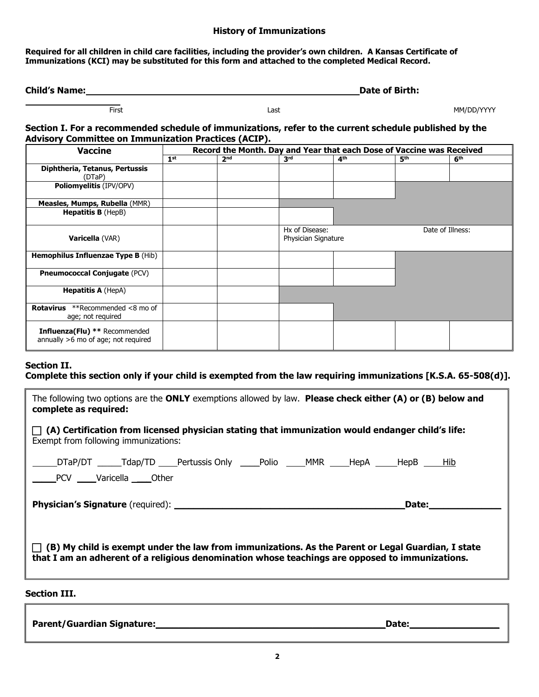#### **History of Immunizations**

**Required for all children in child care facilities, including the provider's own children. A Kansas Certificate of Immunizations (KCI) may be substituted for this form and attached to the completed Medical Record.**

| <b>Child's Name:</b> | Date of Birth: |
|----------------------|----------------|
|                      |                |

FirstLastMM/DD/YYYY

### **Section I. For a recommended schedule of immunizations, refer to the current schedule published by the Advisory Committee on Immunization Practices (ACIP).**

| <b>Vaccine</b>                                                              | Record the Month. Day and Year that each Dose of Vaccine was Received |                 |                                       |                 |                 |                  |
|-----------------------------------------------------------------------------|-----------------------------------------------------------------------|-----------------|---------------------------------------|-----------------|-----------------|------------------|
|                                                                             | 1 <sup>st</sup>                                                       | 2 <sup>nd</sup> | 3 <sup>rd</sup>                       | 4 <sup>th</sup> | 5 <sup>th</sup> | 6 <sup>th</sup>  |
| Diphtheria, Tetanus, Pertussis<br>(DTaP)                                    |                                                                       |                 |                                       |                 |                 |                  |
| <b>Poliomyelitis (IPV/OPV)</b>                                              |                                                                       |                 |                                       |                 |                 |                  |
| Measles, Mumps, Rubella (MMR)                                               |                                                                       |                 |                                       |                 |                 |                  |
| <b>Hepatitis B</b> (HepB)                                                   |                                                                       |                 |                                       |                 |                 |                  |
| Varicella (VAR)                                                             |                                                                       |                 | Hx of Disease:<br>Physician Signature |                 |                 | Date of Illness: |
| <b>Hemophilus Influenzae Type B (Hib)</b>                                   |                                                                       |                 |                                       |                 |                 |                  |
| <b>Pneumococcal Conjugate (PCV)</b>                                         |                                                                       |                 |                                       |                 |                 |                  |
| <b>Hepatitis A (HepA)</b>                                                   |                                                                       |                 |                                       |                 |                 |                  |
| **Recommended <8 mo of<br>Rotavirus<br>age; not required                    |                                                                       |                 |                                       |                 |                 |                  |
| <b>Influenza(Flu)</b> ** Recommended<br>annually >6 mo of age; not required |                                                                       |                 |                                       |                 |                 |                  |

# **Section II.**

# **Complete this section only if your child is exempted from the law requiring immunizations [K.S.A. 65-508(d)].**

| The following two options are the ONLY exemptions allowed by law. Please check either $(A)$ or $(B)$ below and<br>complete as required:                                                                     |  |  |  |  |  |
|-------------------------------------------------------------------------------------------------------------------------------------------------------------------------------------------------------------|--|--|--|--|--|
| $\Box$ (A) Certification from licensed physician stating that immunization would endanger child's life:<br>Exempt from following immunizations:                                                             |  |  |  |  |  |
| _DTaP/DT _______Tdap/TD _____Pertussis Only ______Polio ______MMR _____HepA _____HepB _____H <u>ib</u><br>PCV Varicella Other                                                                               |  |  |  |  |  |
| Date:                                                                                                                                                                                                       |  |  |  |  |  |
| $\Box$ (B) My child is exempt under the law from immunizations. As the Parent or Legal Guardian, I state<br>that I am an adherent of a religious denomination whose teachings are opposed to immunizations. |  |  |  |  |  |

## **Section III.**

ſ

| <b>Parent/Guardian Signature:</b> | Date. |
|-----------------------------------|-------|
|                                   |       |